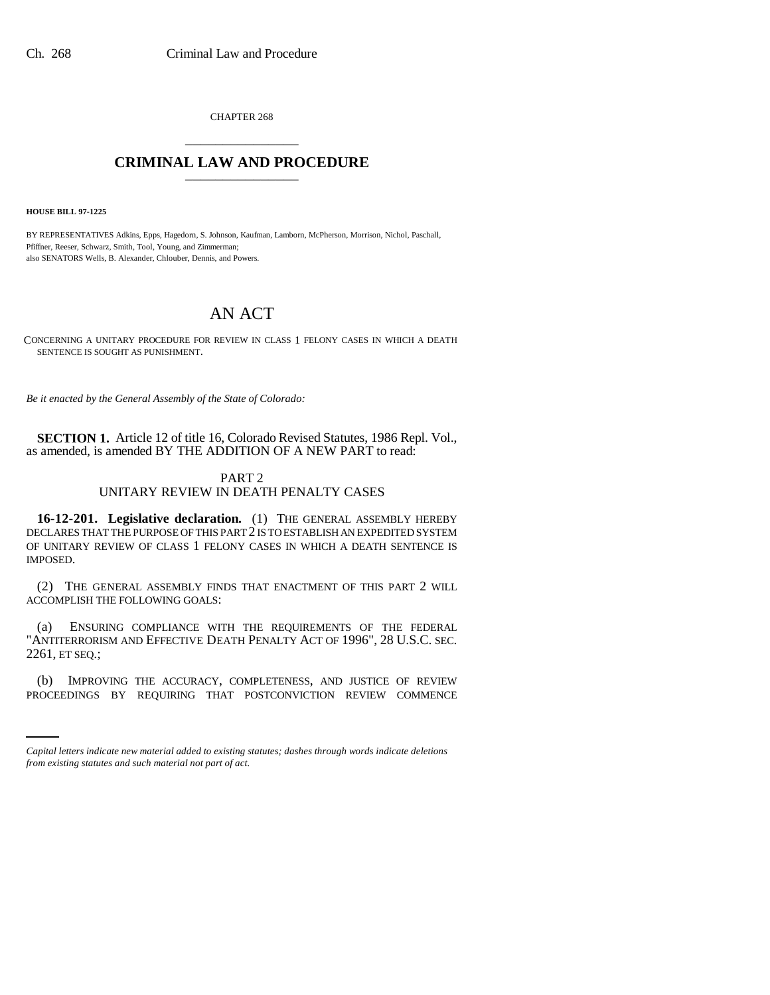CHAPTER 268 \_\_\_\_\_\_\_\_\_\_\_\_\_\_\_

## **CRIMINAL LAW AND PROCEDURE** \_\_\_\_\_\_\_\_\_\_\_\_\_\_\_

**HOUSE BILL 97-1225**

BY REPRESENTATIVES Adkins, Epps, Hagedorn, S. Johnson, Kaufman, Lamborn, McPherson, Morrison, Nichol, Paschall, Pfiffner, Reeser, Schwarz, Smith, Tool, Young, and Zimmerman; also SENATORS Wells, B. Alexander, Chlouber, Dennis, and Powers.

# AN ACT

CONCERNING A UNITARY PROCEDURE FOR REVIEW IN CLASS 1 FELONY CASES IN WHICH A DEATH SENTENCE IS SOUGHT AS PUNISHMENT.

*Be it enacted by the General Assembly of the State of Colorado:*

**SECTION 1.** Article 12 of title 16, Colorado Revised Statutes, 1986 Repl. Vol., as amended, is amended BY THE ADDITION OF A NEW PART to read:

### PART 2

### UNITARY REVIEW IN DEATH PENALTY CASES

**16-12-201. Legislative declaration.** (1) THE GENERAL ASSEMBLY HEREBY DECLARES THAT THE PURPOSE OF THIS PART 2 IS TO ESTABLISH AN EXPEDITED SYSTEM OF UNITARY REVIEW OF CLASS 1 FELONY CASES IN WHICH A DEATH SENTENCE IS IMPOSED.

(2) THE GENERAL ASSEMBLY FINDS THAT ENACTMENT OF THIS PART 2 WILL ACCOMPLISH THE FOLLOWING GOALS:

(a) ENSURING COMPLIANCE WITH THE REQUIREMENTS OF THE FEDERAL "ANTITERRORISM AND EFFECTIVE DEATH PENALTY ACT OF 1996", 28 U.S.C. SEC. 2261, ET SEQ.;

(b) IMPROVING THE ACCURACY, COMPLETENESS, AND JUSTICE OF REVIEW PROCEEDINGS BY REQUIRING THAT POSTCONVICTION REVIEW COMMENCE

*Capital letters indicate new material added to existing statutes; dashes through words indicate deletions from existing statutes and such material not part of act.*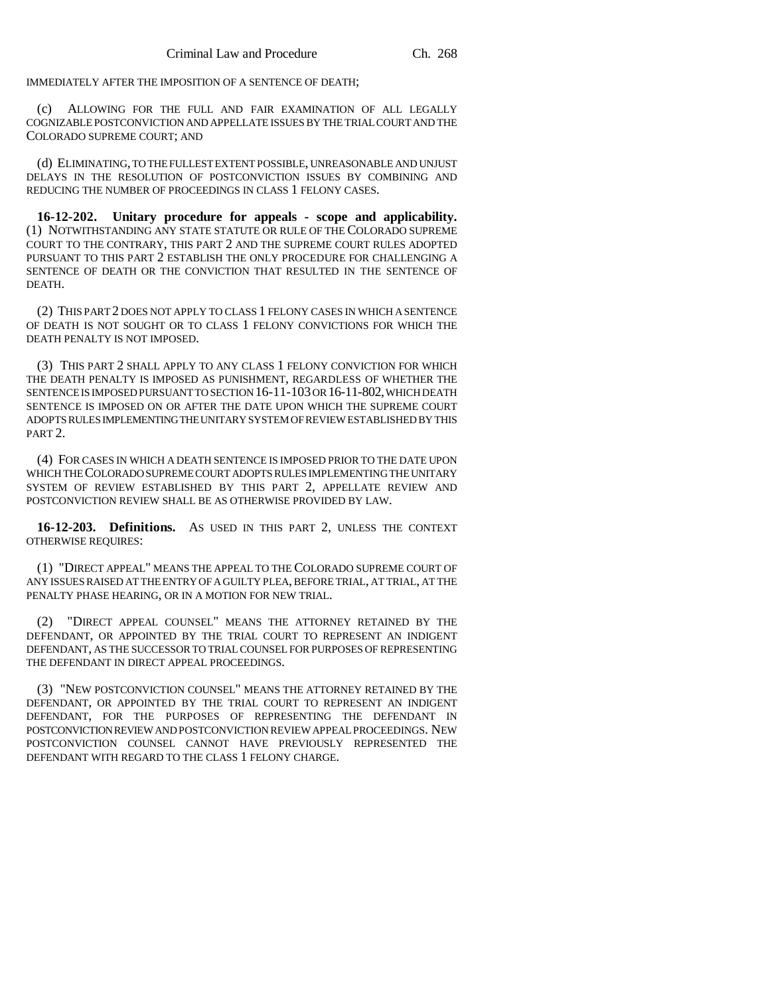IMMEDIATELY AFTER THE IMPOSITION OF A SENTENCE OF DEATH;

(c) ALLOWING FOR THE FULL AND FAIR EXAMINATION OF ALL LEGALLY COGNIZABLE POSTCONVICTION AND APPELLATE ISSUES BY THE TRIAL COURT AND THE COLORADO SUPREME COURT; AND

(d) ELIMINATING, TO THE FULLEST EXTENT POSSIBLE, UNREASONABLE AND UNJUST DELAYS IN THE RESOLUTION OF POSTCONVICTION ISSUES BY COMBINING AND REDUCING THE NUMBER OF PROCEEDINGS IN CLASS 1 FELONY CASES.

**16-12-202. Unitary procedure for appeals - scope and applicability.** (1) NOTWITHSTANDING ANY STATE STATUTE OR RULE OF THE COLORADO SUPREME COURT TO THE CONTRARY, THIS PART 2 AND THE SUPREME COURT RULES ADOPTED PURSUANT TO THIS PART 2 ESTABLISH THE ONLY PROCEDURE FOR CHALLENGING A SENTENCE OF DEATH OR THE CONVICTION THAT RESULTED IN THE SENTENCE OF DEATH.

(2) THIS PART 2 DOES NOT APPLY TO CLASS 1 FELONY CASES IN WHICH A SENTENCE OF DEATH IS NOT SOUGHT OR TO CLASS 1 FELONY CONVICTIONS FOR WHICH THE DEATH PENALTY IS NOT IMPOSED.

(3) THIS PART 2 SHALL APPLY TO ANY CLASS 1 FELONY CONVICTION FOR WHICH THE DEATH PENALTY IS IMPOSED AS PUNISHMENT, REGARDLESS OF WHETHER THE SENTENCE IS IMPOSED PURSUANT TO SECTION 16-11-103 OR 16-11-802, WHICH DEATH SENTENCE IS IMPOSED ON OR AFTER THE DATE UPON WHICH THE SUPREME COURT ADOPTS RULES IMPLEMENTING THE UNITARY SYSTEM OF REVIEW ESTABLISHED BY THIS PART 2.

(4) FOR CASES IN WHICH A DEATH SENTENCE IS IMPOSED PRIOR TO THE DATE UPON WHICH THE COLORADO SUPREME COURT ADOPTS RULES IMPLEMENTING THE UNITARY SYSTEM OF REVIEW ESTABLISHED BY THIS PART 2, APPELLATE REVIEW AND POSTCONVICTION REVIEW SHALL BE AS OTHERWISE PROVIDED BY LAW.

**16-12-203. Definitions.** AS USED IN THIS PART 2, UNLESS THE CONTEXT OTHERWISE REQUIRES:

(1) "DIRECT APPEAL" MEANS THE APPEAL TO THE COLORADO SUPREME COURT OF ANY ISSUES RAISED AT THE ENTRY OF A GUILTY PLEA, BEFORE TRIAL, AT TRIAL, AT THE PENALTY PHASE HEARING, OR IN A MOTION FOR NEW TRIAL.

(2) "DIRECT APPEAL COUNSEL" MEANS THE ATTORNEY RETAINED BY THE DEFENDANT, OR APPOINTED BY THE TRIAL COURT TO REPRESENT AN INDIGENT DEFENDANT, AS THE SUCCESSOR TO TRIAL COUNSEL FOR PURPOSES OF REPRESENTING THE DEFENDANT IN DIRECT APPEAL PROCEEDINGS.

(3) "NEW POSTCONVICTION COUNSEL" MEANS THE ATTORNEY RETAINED BY THE DEFENDANT, OR APPOINTED BY THE TRIAL COURT TO REPRESENT AN INDIGENT DEFENDANT, FOR THE PURPOSES OF REPRESENTING THE DEFENDANT IN POSTCONVICTION REVIEW AND POSTCONVICTION REVIEW APPEAL PROCEEDINGS. NEW POSTCONVICTION COUNSEL CANNOT HAVE PREVIOUSLY REPRESENTED THE DEFENDANT WITH REGARD TO THE CLASS 1 FELONY CHARGE.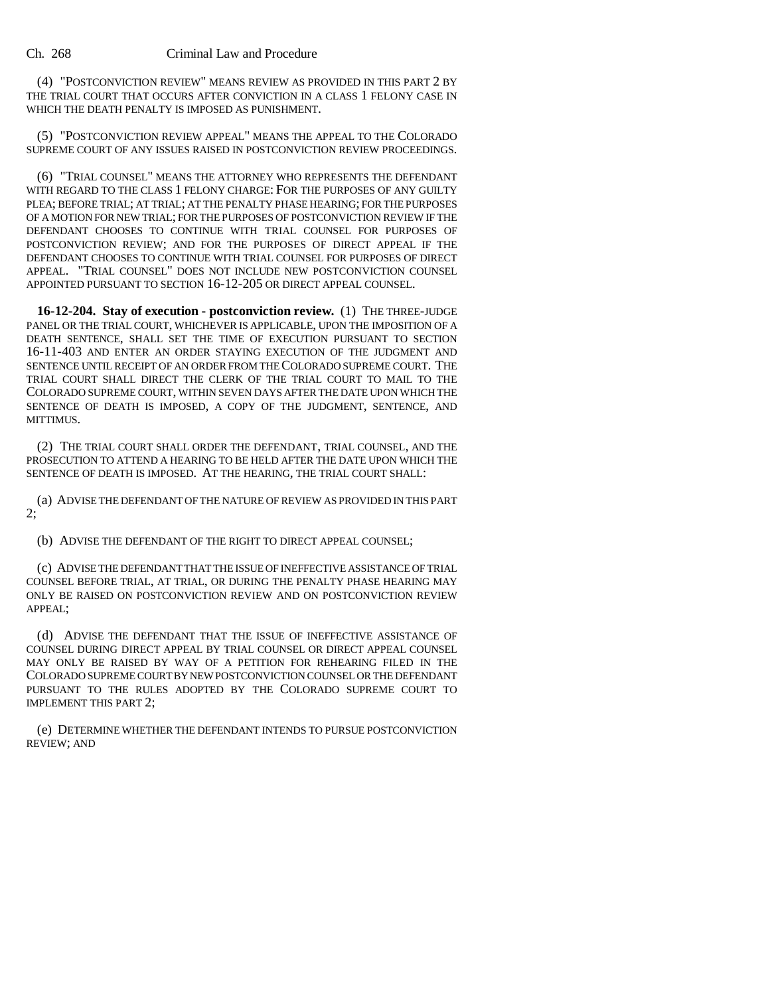#### Ch. 268 Criminal Law and Procedure

(4) "POSTCONVICTION REVIEW" MEANS REVIEW AS PROVIDED IN THIS PART 2 BY THE TRIAL COURT THAT OCCURS AFTER CONVICTION IN A CLASS 1 FELONY CASE IN WHICH THE DEATH PENALTY IS IMPOSED AS PUNISHMENT.

(5) "POSTCONVICTION REVIEW APPEAL" MEANS THE APPEAL TO THE COLORADO SUPREME COURT OF ANY ISSUES RAISED IN POSTCONVICTION REVIEW PROCEEDINGS.

(6) "TRIAL COUNSEL" MEANS THE ATTORNEY WHO REPRESENTS THE DEFENDANT WITH REGARD TO THE CLASS 1 FELONY CHARGE: FOR THE PURPOSES OF ANY GUILTY PLEA; BEFORE TRIAL; AT TRIAL; AT THE PENALTY PHASE HEARING; FOR THE PURPOSES OF A MOTION FOR NEW TRIAL; FOR THE PURPOSES OF POSTCONVICTION REVIEW IF THE DEFENDANT CHOOSES TO CONTINUE WITH TRIAL COUNSEL FOR PURPOSES OF POSTCONVICTION REVIEW; AND FOR THE PURPOSES OF DIRECT APPEAL IF THE DEFENDANT CHOOSES TO CONTINUE WITH TRIAL COUNSEL FOR PURPOSES OF DIRECT APPEAL. "TRIAL COUNSEL" DOES NOT INCLUDE NEW POSTCONVICTION COUNSEL APPOINTED PURSUANT TO SECTION 16-12-205 OR DIRECT APPEAL COUNSEL.

**16-12-204. Stay of execution - postconviction review.** (1) THE THREE-JUDGE PANEL OR THE TRIAL COURT, WHICHEVER IS APPLICABLE, UPON THE IMPOSITION OF A DEATH SENTENCE, SHALL SET THE TIME OF EXECUTION PURSUANT TO SECTION 16-11-403 AND ENTER AN ORDER STAYING EXECUTION OF THE JUDGMENT AND SENTENCE UNTIL RECEIPT OF AN ORDER FROM THE COLORADO SUPREME COURT. THE TRIAL COURT SHALL DIRECT THE CLERK OF THE TRIAL COURT TO MAIL TO THE COLORADO SUPREME COURT, WITHIN SEVEN DAYS AFTER THE DATE UPON WHICH THE SENTENCE OF DEATH IS IMPOSED, A COPY OF THE JUDGMENT, SENTENCE, AND MITTIMUS.

(2) THE TRIAL COURT SHALL ORDER THE DEFENDANT, TRIAL COUNSEL, AND THE PROSECUTION TO ATTEND A HEARING TO BE HELD AFTER THE DATE UPON WHICH THE SENTENCE OF DEATH IS IMPOSED. AT THE HEARING, THE TRIAL COURT SHALL:

(a) ADVISE THE DEFENDANT OF THE NATURE OF REVIEW AS PROVIDED IN THIS PART 2;

(b) ADVISE THE DEFENDANT OF THE RIGHT TO DIRECT APPEAL COUNSEL;

(c) ADVISE THE DEFENDANT THAT THE ISSUE OF INEFFECTIVE ASSISTANCE OF TRIAL COUNSEL BEFORE TRIAL, AT TRIAL, OR DURING THE PENALTY PHASE HEARING MAY ONLY BE RAISED ON POSTCONVICTION REVIEW AND ON POSTCONVICTION REVIEW APPEAL;

(d) ADVISE THE DEFENDANT THAT THE ISSUE OF INEFFECTIVE ASSISTANCE OF COUNSEL DURING DIRECT APPEAL BY TRIAL COUNSEL OR DIRECT APPEAL COUNSEL MAY ONLY BE RAISED BY WAY OF A PETITION FOR REHEARING FILED IN THE COLORADO SUPREME COURT BY NEW POSTCONVICTION COUNSEL OR THE DEFENDANT PURSUANT TO THE RULES ADOPTED BY THE COLORADO SUPREME COURT TO IMPLEMENT THIS PART 2;

(e) DETERMINE WHETHER THE DEFENDANT INTENDS TO PURSUE POSTCONVICTION REVIEW; AND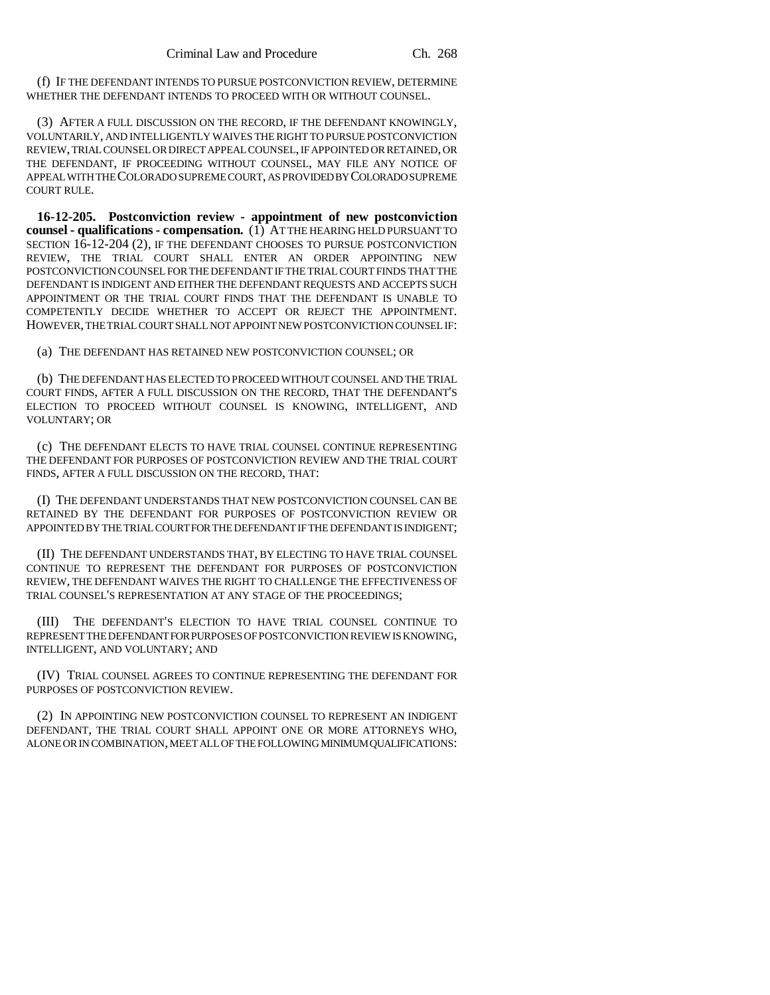(f) IF THE DEFENDANT INTENDS TO PURSUE POSTCONVICTION REVIEW, DETERMINE WHETHER THE DEFENDANT INTENDS TO PROCEED WITH OR WITHOUT COUNSEL.

(3) AFTER A FULL DISCUSSION ON THE RECORD, IF THE DEFENDANT KNOWINGLY, VOLUNTARILY, AND INTELLIGENTLY WAIVES THE RIGHT TO PURSUE POSTCONVICTION REVIEW, TRIAL COUNSEL OR DIRECT APPEAL COUNSEL, IF APPOINTED OR RETAINED, OR THE DEFENDANT, IF PROCEEDING WITHOUT COUNSEL, MAY FILE ANY NOTICE OF APPEAL WITH THE COLORADO SUPREME COURT, AS PROVIDED BY COLORADO SUPREME COURT RULE.

**16-12-205. Postconviction review - appointment of new postconviction counsel - qualifications - compensation.** (1) AT THE HEARING HELD PURSUANT TO SECTION 16-12-204 (2), IF THE DEFENDANT CHOOSES TO PURSUE POSTCONVICTION REVIEW, THE TRIAL COURT SHALL ENTER AN ORDER APPOINTING NEW POSTCONVICTION COUNSEL FOR THE DEFENDANT IF THE TRIAL COURT FINDS THAT THE DEFENDANT IS INDIGENT AND EITHER THE DEFENDANT REQUESTS AND ACCEPTS SUCH APPOINTMENT OR THE TRIAL COURT FINDS THAT THE DEFENDANT IS UNABLE TO COMPETENTLY DECIDE WHETHER TO ACCEPT OR REJECT THE APPOINTMENT. HOWEVER, THE TRIAL COURT SHALL NOT APPOINT NEW POSTCONVICTION COUNSEL IF:

(a) THE DEFENDANT HAS RETAINED NEW POSTCONVICTION COUNSEL; OR

(b) THE DEFENDANT HAS ELECTED TO PROCEED WITHOUT COUNSEL AND THE TRIAL COURT FINDS, AFTER A FULL DISCUSSION ON THE RECORD, THAT THE DEFENDANT'S ELECTION TO PROCEED WITHOUT COUNSEL IS KNOWING, INTELLIGENT, AND VOLUNTARY; OR

(c) THE DEFENDANT ELECTS TO HAVE TRIAL COUNSEL CONTINUE REPRESENTING THE DEFENDANT FOR PURPOSES OF POSTCONVICTION REVIEW AND THE TRIAL COURT FINDS, AFTER A FULL DISCUSSION ON THE RECORD, THAT:

(I) THE DEFENDANT UNDERSTANDS THAT NEW POSTCONVICTION COUNSEL CAN BE RETAINED BY THE DEFENDANT FOR PURPOSES OF POSTCONVICTION REVIEW OR APPOINTED BY THE TRIAL COURT FOR THE DEFENDANT IF THE DEFENDANT IS INDIGENT;

(II) THE DEFENDANT UNDERSTANDS THAT, BY ELECTING TO HAVE TRIAL COUNSEL CONTINUE TO REPRESENT THE DEFENDANT FOR PURPOSES OF POSTCONVICTION REVIEW, THE DEFENDANT WAIVES THE RIGHT TO CHALLENGE THE EFFECTIVENESS OF TRIAL COUNSEL'S REPRESENTATION AT ANY STAGE OF THE PROCEEDINGS;

(III) THE DEFENDANT'S ELECTION TO HAVE TRIAL COUNSEL CONTINUE TO REPRESENT THE DEFENDANT FOR PURPOSES OF POSTCONVICTION REVIEW IS KNOWING, INTELLIGENT, AND VOLUNTARY; AND

(IV) TRIAL COUNSEL AGREES TO CONTINUE REPRESENTING THE DEFENDANT FOR PURPOSES OF POSTCONVICTION REVIEW.

(2) IN APPOINTING NEW POSTCONVICTION COUNSEL TO REPRESENT AN INDIGENT DEFENDANT, THE TRIAL COURT SHALL APPOINT ONE OR MORE ATTORNEYS WHO, ALONE OR IN COMBINATION, MEET ALL OF THE FOLLOWING MINIMUM QUALIFICATIONS: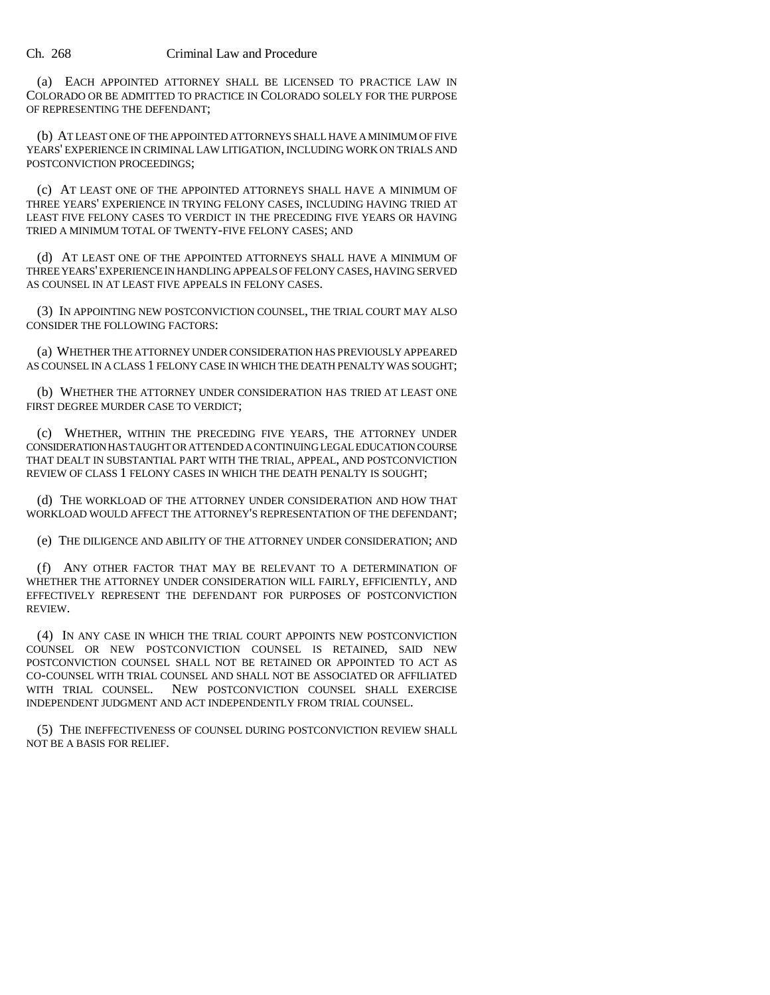#### Ch. 268 Criminal Law and Procedure

(a) EACH APPOINTED ATTORNEY SHALL BE LICENSED TO PRACTICE LAW IN COLORADO OR BE ADMITTED TO PRACTICE IN COLORADO SOLELY FOR THE PURPOSE OF REPRESENTING THE DEFENDANT;

(b) AT LEAST ONE OF THE APPOINTED ATTORNEYS SHALL HAVE A MINIMUM OF FIVE YEARS' EXPERIENCE IN CRIMINAL LAW LITIGATION, INCLUDING WORK ON TRIALS AND POSTCONVICTION PROCEEDINGS;

(c) AT LEAST ONE OF THE APPOINTED ATTORNEYS SHALL HAVE A MINIMUM OF THREE YEARS' EXPERIENCE IN TRYING FELONY CASES, INCLUDING HAVING TRIED AT LEAST FIVE FELONY CASES TO VERDICT IN THE PRECEDING FIVE YEARS OR HAVING TRIED A MINIMUM TOTAL OF TWENTY-FIVE FELONY CASES; AND

(d) AT LEAST ONE OF THE APPOINTED ATTORNEYS SHALL HAVE A MINIMUM OF THREE YEARS' EXPERIENCE IN HANDLING APPEALS OF FELONY CASES, HAVING SERVED AS COUNSEL IN AT LEAST FIVE APPEALS IN FELONY CASES.

(3) IN APPOINTING NEW POSTCONVICTION COUNSEL, THE TRIAL COURT MAY ALSO CONSIDER THE FOLLOWING FACTORS:

(a) WHETHER THE ATTORNEY UNDER CONSIDERATION HAS PREVIOUSLY APPEARED AS COUNSEL IN A CLASS 1 FELONY CASE IN WHICH THE DEATH PENALTY WAS SOUGHT;

(b) WHETHER THE ATTORNEY UNDER CONSIDERATION HAS TRIED AT LEAST ONE FIRST DEGREE MURDER CASE TO VERDICT;

(c) WHETHER, WITHIN THE PRECEDING FIVE YEARS, THE ATTORNEY UNDER CONSIDERATION HAS TAUGHT OR ATTENDED A CONTINUING LEGAL EDUCATION COURSE THAT DEALT IN SUBSTANTIAL PART WITH THE TRIAL, APPEAL, AND POSTCONVICTION REVIEW OF CLASS 1 FELONY CASES IN WHICH THE DEATH PENALTY IS SOUGHT;

(d) THE WORKLOAD OF THE ATTORNEY UNDER CONSIDERATION AND HOW THAT WORKLOAD WOULD AFFECT THE ATTORNEY'S REPRESENTATION OF THE DEFENDANT;

(e) THE DILIGENCE AND ABILITY OF THE ATTORNEY UNDER CONSIDERATION; AND

(f) ANY OTHER FACTOR THAT MAY BE RELEVANT TO A DETERMINATION OF WHETHER THE ATTORNEY UNDER CONSIDERATION WILL FAIRLY, EFFICIENTLY, AND EFFECTIVELY REPRESENT THE DEFENDANT FOR PURPOSES OF POSTCONVICTION REVIEW.

(4) IN ANY CASE IN WHICH THE TRIAL COURT APPOINTS NEW POSTCONVICTION COUNSEL OR NEW POSTCONVICTION COUNSEL IS RETAINED, SAID NEW POSTCONVICTION COUNSEL SHALL NOT BE RETAINED OR APPOINTED TO ACT AS CO-COUNSEL WITH TRIAL COUNSEL AND SHALL NOT BE ASSOCIATED OR AFFILIATED WITH TRIAL COUNSEL. NEW POSTCONVICTION COUNSEL SHALL EXERCISE INDEPENDENT JUDGMENT AND ACT INDEPENDENTLY FROM TRIAL COUNSEL.

(5) THE INEFFECTIVENESS OF COUNSEL DURING POSTCONVICTION REVIEW SHALL NOT BE A BASIS FOR RELIEF.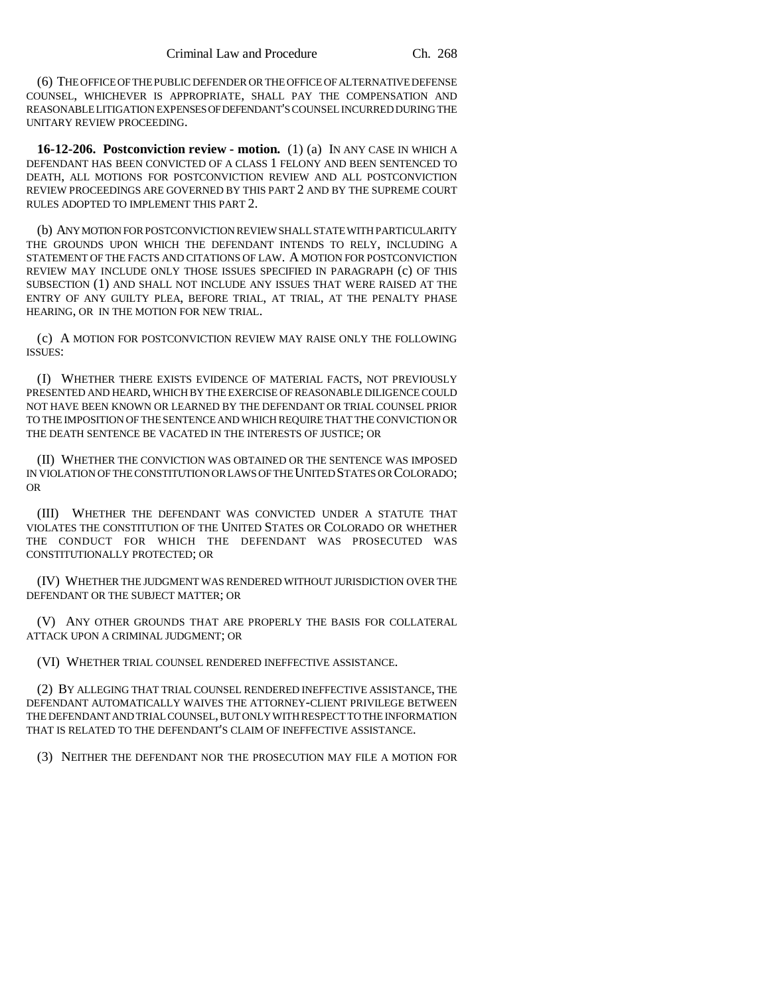(6) THE OFFICE OF THE PUBLIC DEFENDER OR THE OFFICE OF ALTERNATIVE DEFENSE COUNSEL, WHICHEVER IS APPROPRIATE, SHALL PAY THE COMPENSATION AND REASONABLE LITIGATION EXPENSES OF DEFENDANT'S COUNSEL INCURRED DURING THE UNITARY REVIEW PROCEEDING.

**16-12-206. Postconviction review - motion.** (1) (a) IN ANY CASE IN WHICH A DEFENDANT HAS BEEN CONVICTED OF A CLASS 1 FELONY AND BEEN SENTENCED TO DEATH, ALL MOTIONS FOR POSTCONVICTION REVIEW AND ALL POSTCONVICTION REVIEW PROCEEDINGS ARE GOVERNED BY THIS PART 2 AND BY THE SUPREME COURT RULES ADOPTED TO IMPLEMENT THIS PART 2.

(b) ANY MOTION FOR POSTCONVICTION REVIEW SHALL STATE WITH PARTICULARITY THE GROUNDS UPON WHICH THE DEFENDANT INTENDS TO RELY, INCLUDING A STATEMENT OF THE FACTS AND CITATIONS OF LAW. A MOTION FOR POSTCONVICTION REVIEW MAY INCLUDE ONLY THOSE ISSUES SPECIFIED IN PARAGRAPH (c) OF THIS SUBSECTION (1) AND SHALL NOT INCLUDE ANY ISSUES THAT WERE RAISED AT THE ENTRY OF ANY GUILTY PLEA, BEFORE TRIAL, AT TRIAL, AT THE PENALTY PHASE HEARING, OR IN THE MOTION FOR NEW TRIAL.

(c) A MOTION FOR POSTCONVICTION REVIEW MAY RAISE ONLY THE FOLLOWING ISSUES:

(I) WHETHER THERE EXISTS EVIDENCE OF MATERIAL FACTS, NOT PREVIOUSLY PRESENTED AND HEARD, WHICH BY THE EXERCISE OF REASONABLE DILIGENCE COULD NOT HAVE BEEN KNOWN OR LEARNED BY THE DEFENDANT OR TRIAL COUNSEL PRIOR TO THE IMPOSITION OF THE SENTENCE AND WHICH REQUIRE THAT THE CONVICTION OR THE DEATH SENTENCE BE VACATED IN THE INTERESTS OF JUSTICE; OR

(II) WHETHER THE CONVICTION WAS OBTAINED OR THE SENTENCE WAS IMPOSED IN VIOLATION OF THE CONSTITUTION OR LAWS OF THE UNITED STATES OR COLORADO; OR

(III) WHETHER THE DEFENDANT WAS CONVICTED UNDER A STATUTE THAT VIOLATES THE CONSTITUTION OF THE UNITED STATES OR COLORADO OR WHETHER THE CONDUCT FOR WHICH THE DEFENDANT WAS PROSECUTED WAS CONSTITUTIONALLY PROTECTED; OR

(IV) WHETHER THE JUDGMENT WAS RENDERED WITHOUT JURISDICTION OVER THE DEFENDANT OR THE SUBJECT MATTER; OR

(V) ANY OTHER GROUNDS THAT ARE PROPERLY THE BASIS FOR COLLATERAL ATTACK UPON A CRIMINAL JUDGMENT; OR

(VI) WHETHER TRIAL COUNSEL RENDERED INEFFECTIVE ASSISTANCE.

(2) BY ALLEGING THAT TRIAL COUNSEL RENDERED INEFFECTIVE ASSISTANCE, THE DEFENDANT AUTOMATICALLY WAIVES THE ATTORNEY-CLIENT PRIVILEGE BETWEEN THE DEFENDANT AND TRIAL COUNSEL, BUT ONLY WITH RESPECT TO THE INFORMATION THAT IS RELATED TO THE DEFENDANT'S CLAIM OF INEFFECTIVE ASSISTANCE.

(3) NEITHER THE DEFENDANT NOR THE PROSECUTION MAY FILE A MOTION FOR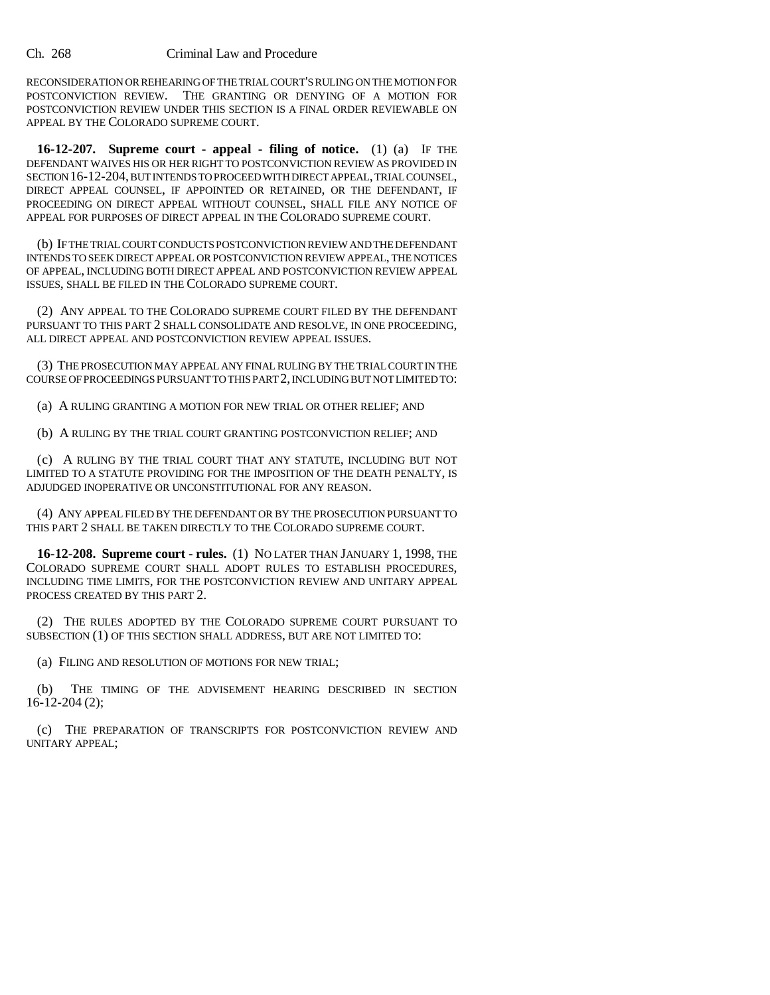RECONSIDERATION OR REHEARING OF THE TRIAL COURT'S RULING ON THE MOTION FOR POSTCONVICTION REVIEW. THE GRANTING OR DENYING OF A MOTION FOR POSTCONVICTION REVIEW UNDER THIS SECTION IS A FINAL ORDER REVIEWABLE ON APPEAL BY THE COLORADO SUPREME COURT.

**16-12-207. Supreme court - appeal - filing of notice.** (1) (a) IF THE DEFENDANT WAIVES HIS OR HER RIGHT TO POSTCONVICTION REVIEW AS PROVIDED IN SECTION 16-12-204, BUT INTENDS TO PROCEED WITH DIRECT APPEAL, TRIAL COUNSEL, DIRECT APPEAL COUNSEL, IF APPOINTED OR RETAINED, OR THE DEFENDANT, IF PROCEEDING ON DIRECT APPEAL WITHOUT COUNSEL, SHALL FILE ANY NOTICE OF APPEAL FOR PURPOSES OF DIRECT APPEAL IN THE COLORADO SUPREME COURT.

(b) IF THE TRIAL COURT CONDUCTS POSTCONVICTION REVIEW AND THE DEFENDANT INTENDS TO SEEK DIRECT APPEAL OR POSTCONVICTION REVIEW APPEAL, THE NOTICES OF APPEAL, INCLUDING BOTH DIRECT APPEAL AND POSTCONVICTION REVIEW APPEAL ISSUES, SHALL BE FILED IN THE COLORADO SUPREME COURT.

(2) ANY APPEAL TO THE COLORADO SUPREME COURT FILED BY THE DEFENDANT PURSUANT TO THIS PART 2 SHALL CONSOLIDATE AND RESOLVE, IN ONE PROCEEDING, ALL DIRECT APPEAL AND POSTCONVICTION REVIEW APPEAL ISSUES.

(3) THE PROSECUTION MAY APPEAL ANY FINAL RULING BY THE TRIAL COURT IN THE COURSE OF PROCEEDINGS PURSUANT TO THIS PART 2, INCLUDING BUT NOT LIMITED TO:

(a) A RULING GRANTING A MOTION FOR NEW TRIAL OR OTHER RELIEF; AND

(b) A RULING BY THE TRIAL COURT GRANTING POSTCONVICTION RELIEF; AND

(c) A RULING BY THE TRIAL COURT THAT ANY STATUTE, INCLUDING BUT NOT LIMITED TO A STATUTE PROVIDING FOR THE IMPOSITION OF THE DEATH PENALTY, IS ADJUDGED INOPERATIVE OR UNCONSTITUTIONAL FOR ANY REASON.

(4) ANY APPEAL FILED BY THE DEFENDANT OR BY THE PROSECUTION PURSUANT TO THIS PART 2 SHALL BE TAKEN DIRECTLY TO THE COLORADO SUPREME COURT.

**16-12-208. Supreme court - rules.** (1) NO LATER THAN JANUARY 1, 1998, THE COLORADO SUPREME COURT SHALL ADOPT RULES TO ESTABLISH PROCEDURES, INCLUDING TIME LIMITS, FOR THE POSTCONVICTION REVIEW AND UNITARY APPEAL PROCESS CREATED BY THIS PART 2.

(2) THE RULES ADOPTED BY THE COLORADO SUPREME COURT PURSUANT TO SUBSECTION (1) OF THIS SECTION SHALL ADDRESS, BUT ARE NOT LIMITED TO:

(a) FILING AND RESOLUTION OF MOTIONS FOR NEW TRIAL;

(b) THE TIMING OF THE ADVISEMENT HEARING DESCRIBED IN SECTION 16-12-204 (2);

(c) THE PREPARATION OF TRANSCRIPTS FOR POSTCONVICTION REVIEW AND UNITARY APPEAL;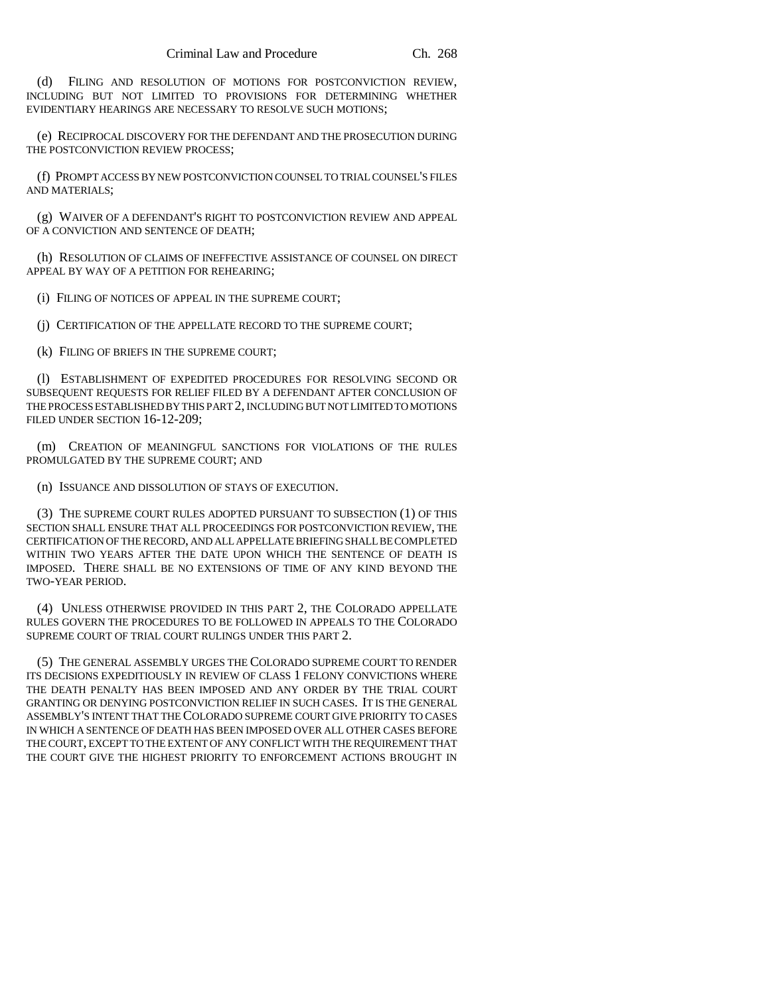(d) FILING AND RESOLUTION OF MOTIONS FOR POSTCONVICTION REVIEW, INCLUDING BUT NOT LIMITED TO PROVISIONS FOR DETERMINING WHETHER EVIDENTIARY HEARINGS ARE NECESSARY TO RESOLVE SUCH MOTIONS;

(e) RECIPROCAL DISCOVERY FOR THE DEFENDANT AND THE PROSECUTION DURING THE POSTCONVICTION REVIEW PROCESS;

(f) PROMPT ACCESS BY NEW POSTCONVICTION COUNSEL TO TRIAL COUNSEL'S FILES AND MATERIALS;

(g) WAIVER OF A DEFENDANT'S RIGHT TO POSTCONVICTION REVIEW AND APPEAL OF A CONVICTION AND SENTENCE OF DEATH;

(h) RESOLUTION OF CLAIMS OF INEFFECTIVE ASSISTANCE OF COUNSEL ON DIRECT APPEAL BY WAY OF A PETITION FOR REHEARING;

(i) FILING OF NOTICES OF APPEAL IN THE SUPREME COURT;

(j) CERTIFICATION OF THE APPELLATE RECORD TO THE SUPREME COURT;

(k) FILING OF BRIEFS IN THE SUPREME COURT;

(l) ESTABLISHMENT OF EXPEDITED PROCEDURES FOR RESOLVING SECOND OR SUBSEQUENT REQUESTS FOR RELIEF FILED BY A DEFENDANT AFTER CONCLUSION OF THE PROCESS ESTABLISHED BY THIS PART 2, INCLUDING BUT NOT LIMITED TO MOTIONS FILED UNDER SECTION 16-12-209;

(m) CREATION OF MEANINGFUL SANCTIONS FOR VIOLATIONS OF THE RULES PROMULGATED BY THE SUPREME COURT; AND

(n) ISSUANCE AND DISSOLUTION OF STAYS OF EXECUTION.

(3) THE SUPREME COURT RULES ADOPTED PURSUANT TO SUBSECTION (1) OF THIS SECTION SHALL ENSURE THAT ALL PROCEEDINGS FOR POSTCONVICTION REVIEW, THE CERTIFICATION OF THE RECORD, AND ALL APPELLATE BRIEFING SHALL BE COMPLETED WITHIN TWO YEARS AFTER THE DATE UPON WHICH THE SENTENCE OF DEATH IS IMPOSED. THERE SHALL BE NO EXTENSIONS OF TIME OF ANY KIND BEYOND THE TWO-YEAR PERIOD.

(4) UNLESS OTHERWISE PROVIDED IN THIS PART 2, THE COLORADO APPELLATE RULES GOVERN THE PROCEDURES TO BE FOLLOWED IN APPEALS TO THE COLORADO SUPREME COURT OF TRIAL COURT RULINGS UNDER THIS PART 2.

(5) THE GENERAL ASSEMBLY URGES THE COLORADO SUPREME COURT TO RENDER ITS DECISIONS EXPEDITIOUSLY IN REVIEW OF CLASS 1 FELONY CONVICTIONS WHERE THE DEATH PENALTY HAS BEEN IMPOSED AND ANY ORDER BY THE TRIAL COURT GRANTING OR DENYING POSTCONVICTION RELIEF IN SUCH CASES. IT IS THE GENERAL ASSEMBLY'S INTENT THAT THE COLORADO SUPREME COURT GIVE PRIORITY TO CASES IN WHICH A SENTENCE OF DEATH HAS BEEN IMPOSED OVER ALL OTHER CASES BEFORE THE COURT, EXCEPT TO THE EXTENT OF ANY CONFLICT WITH THE REQUIREMENT THAT THE COURT GIVE THE HIGHEST PRIORITY TO ENFORCEMENT ACTIONS BROUGHT IN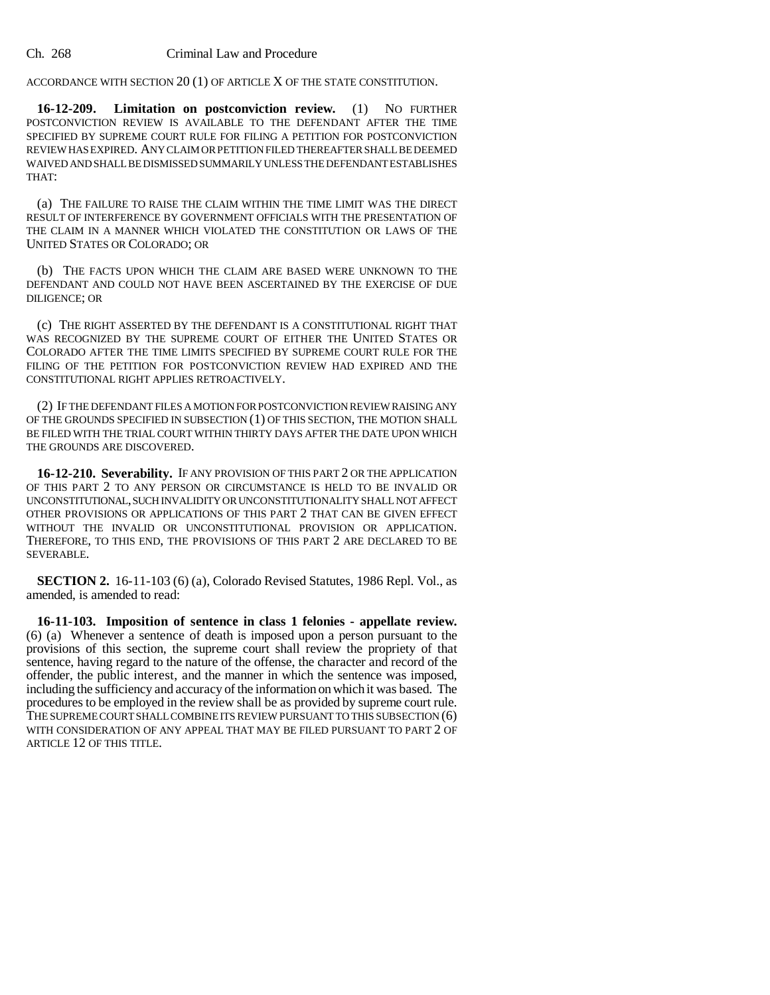ACCORDANCE WITH SECTION 20 (1) OF ARTICLE X OF THE STATE CONSTITUTION.

**16-12-209. Limitation on postconviction review.** (1) NO FURTHER POSTCONVICTION REVIEW IS AVAILABLE TO THE DEFENDANT AFTER THE TIME SPECIFIED BY SUPREME COURT RULE FOR FILING A PETITION FOR POSTCONVICTION REVIEW HAS EXPIRED. ANY CLAIM OR PETITION FILED THEREAFTER SHALL BE DEEMED WAIVED AND SHALL BE DISMISSED SUMMARILY UNLESS THE DEFENDANT ESTABLISHES THAT:

(a) THE FAILURE TO RAISE THE CLAIM WITHIN THE TIME LIMIT WAS THE DIRECT RESULT OF INTERFERENCE BY GOVERNMENT OFFICIALS WITH THE PRESENTATION OF THE CLAIM IN A MANNER WHICH VIOLATED THE CONSTITUTION OR LAWS OF THE UNITED STATES OR COLORADO; OR

(b) THE FACTS UPON WHICH THE CLAIM ARE BASED WERE UNKNOWN TO THE DEFENDANT AND COULD NOT HAVE BEEN ASCERTAINED BY THE EXERCISE OF DUE DILIGENCE; OR

(c) THE RIGHT ASSERTED BY THE DEFENDANT IS A CONSTITUTIONAL RIGHT THAT WAS RECOGNIZED BY THE SUPREME COURT OF EITHER THE UNITED STATES OR COLORADO AFTER THE TIME LIMITS SPECIFIED BY SUPREME COURT RULE FOR THE FILING OF THE PETITION FOR POSTCONVICTION REVIEW HAD EXPIRED AND THE CONSTITUTIONAL RIGHT APPLIES RETROACTIVELY.

(2) IF THE DEFENDANT FILES A MOTION FOR POSTCONVICTION REVIEW RAISING ANY OF THE GROUNDS SPECIFIED IN SUBSECTION (1) OF THIS SECTION, THE MOTION SHALL BE FILED WITH THE TRIAL COURT WITHIN THIRTY DAYS AFTER THE DATE UPON WHICH THE GROUNDS ARE DISCOVERED.

**16-12-210. Severability.** IF ANY PROVISION OF THIS PART 2 OR THE APPLICATION OF THIS PART 2 TO ANY PERSON OR CIRCUMSTANCE IS HELD TO BE INVALID OR UNCONSTITUTIONAL, SUCH INVALIDITY OR UNCONSTITUTIONALITY SHALL NOT AFFECT OTHER PROVISIONS OR APPLICATIONS OF THIS PART 2 THAT CAN BE GIVEN EFFECT WITHOUT THE INVALID OR UNCONSTITUTIONAL PROVISION OR APPLICATION. THEREFORE, TO THIS END, THE PROVISIONS OF THIS PART 2 ARE DECLARED TO BE SEVERABLE.

**SECTION 2.** 16-11-103 (6) (a), Colorado Revised Statutes, 1986 Repl. Vol., as amended, is amended to read:

**16-11-103. Imposition of sentence in class 1 felonies - appellate review.** (6) (a) Whenever a sentence of death is imposed upon a person pursuant to the provisions of this section, the supreme court shall review the propriety of that sentence, having regard to the nature of the offense, the character and record of the offender, the public interest, and the manner in which the sentence was imposed, including the sufficiency and accuracy of the information on which it was based. The procedures to be employed in the review shall be as provided by supreme court rule. THE SUPREME COURT SHALL COMBINE ITS REVIEW PURSUANT TO THIS SUBSECTION (6) WITH CONSIDERATION OF ANY APPEAL THAT MAY BE FILED PURSUANT TO PART 2 OF ARTICLE 12 OF THIS TITLE.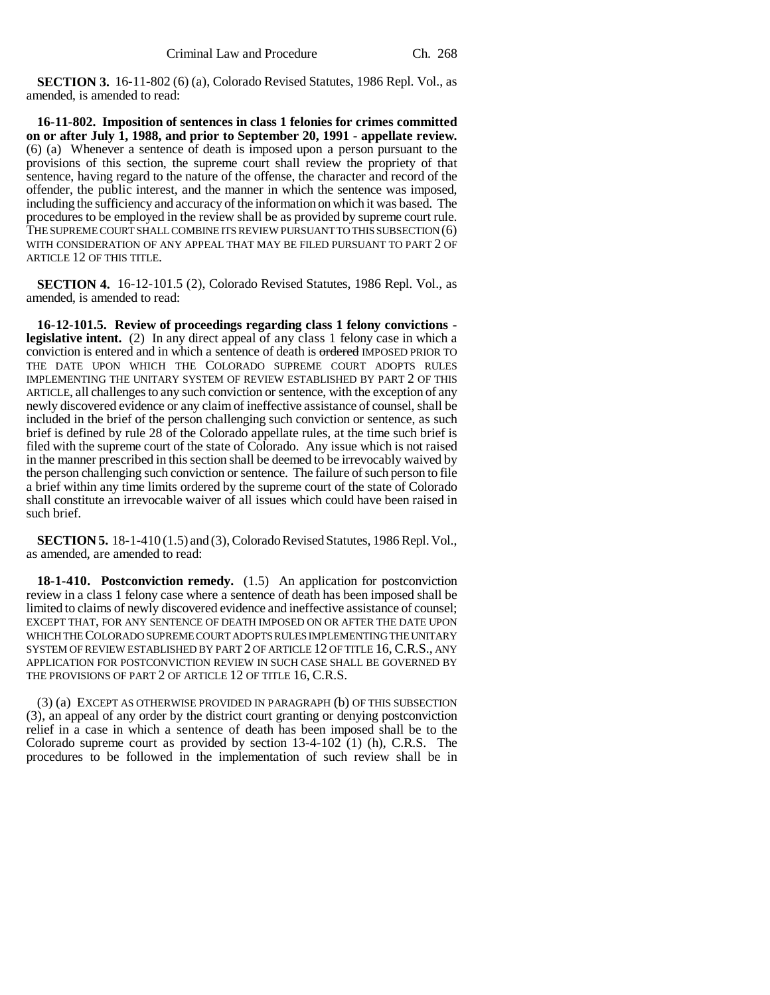**SECTION 3.** 16-11-802 (6) (a), Colorado Revised Statutes, 1986 Repl. Vol., as amended, is amended to read:

**16-11-802. Imposition of sentences in class 1 felonies for crimes committed on or after July 1, 1988, and prior to September 20, 1991 - appellate review.** (6) (a) Whenever a sentence of death is imposed upon a person pursuant to the provisions of this section, the supreme court shall review the propriety of that sentence, having regard to the nature of the offense, the character and record of the offender, the public interest, and the manner in which the sentence was imposed, including the sufficiency and accuracy of the information on which it was based. The procedures to be employed in the review shall be as provided by supreme court rule. THE SUPREME COURT SHALL COMBINE ITS REVIEW PURSUANT TO THIS SUBSECTION (6) WITH CONSIDERATION OF ANY APPEAL THAT MAY BE FILED PURSUANT TO PART 2 OF ARTICLE 12 OF THIS TITLE.

**SECTION 4.** 16-12-101.5 (2), Colorado Revised Statutes, 1986 Repl. Vol., as amended, is amended to read:

**16-12-101.5. Review of proceedings regarding class 1 felony convictions legislative intent.** (2) In any direct appeal of any class 1 felony case in which a conviction is entered and in which a sentence of death is ordered IMPOSED PRIOR TO THE DATE UPON WHICH THE COLORADO SUPREME COURT ADOPTS RULES IMPLEMENTING THE UNITARY SYSTEM OF REVIEW ESTABLISHED BY PART 2 OF THIS ARTICLE, all challenges to any such conviction or sentence, with the exception of any newly discovered evidence or any claim of ineffective assistance of counsel, shall be included in the brief of the person challenging such conviction or sentence, as such brief is defined by rule 28 of the Colorado appellate rules, at the time such brief is filed with the supreme court of the state of Colorado. Any issue which is not raised in the manner prescribed in this section shall be deemed to be irrevocably waived by the person challenging such conviction or sentence. The failure of such person to file a brief within any time limits ordered by the supreme court of the state of Colorado shall constitute an irrevocable waiver of all issues which could have been raised in such brief.

**SECTION 5.** 18-1-410 (1.5) and (3), Colorado Revised Statutes, 1986 Repl. Vol., as amended, are amended to read:

**18-1-410. Postconviction remedy.** (1.5) An application for postconviction review in a class 1 felony case where a sentence of death has been imposed shall be limited to claims of newly discovered evidence and ineffective assistance of counsel; EXCEPT THAT, FOR ANY SENTENCE OF DEATH IMPOSED ON OR AFTER THE DATE UPON WHICH THE COLORADO SUPREME COURT ADOPTS RULES IMPLEMENTING THE UNITARY SYSTEM OF REVIEW ESTABLISHED BY PART 2 OF ARTICLE 12 OF TITLE 16, C.R.S., ANY APPLICATION FOR POSTCONVICTION REVIEW IN SUCH CASE SHALL BE GOVERNED BY THE PROVISIONS OF PART 2 OF ARTICLE 12 OF TITLE 16, C.R.S.

(3) (a) EXCEPT AS OTHERWISE PROVIDED IN PARAGRAPH (b) OF THIS SUBSECTION (3), an appeal of any order by the district court granting or denying postconviction relief in a case in which a sentence of death has been imposed shall be to the Colorado supreme court as provided by section 13-4-102 (1) (h), C.R.S. The procedures to be followed in the implementation of such review shall be in